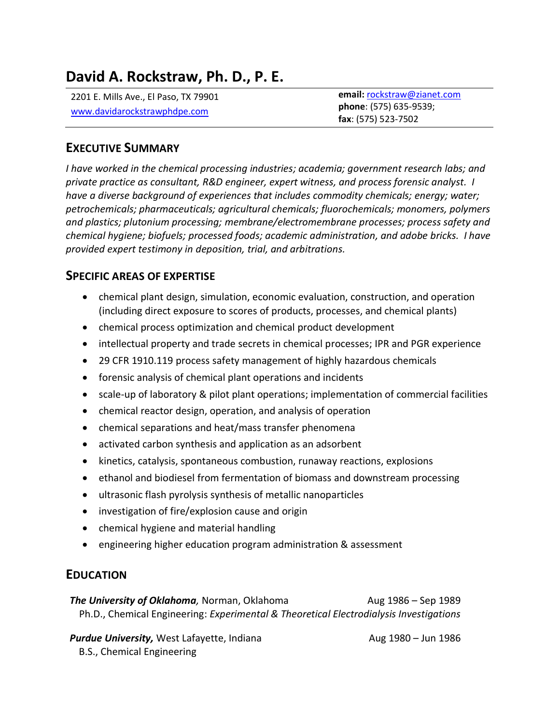# **David A. Rockstraw, Ph. D., P. E.**

2201 E. Mills Ave., El Paso, TX 79901 [www.davidarockstrawphdpe.com](http://www.davidarockstrawphdpe.com/)

**email:** [rockstraw@zianet.com](mailto:rockstraw@zianet.com) **phone**: (575) 635-9539; **fax**: (575) 523-7502

### **EXECUTIVE SUMMARY**

*I have worked in the chemical processing industries; academia; government research labs; and private practice as consultant, R&D engineer, expert witness, and process forensic analyst. I have a diverse background of experiences that includes commodity chemicals; energy; water; petrochemicals; pharmaceuticals; agricultural chemicals; fluorochemicals; monomers, polymers and plastics; plutonium processing; membrane/electromembrane processes; process safety and chemical hygiene; biofuels; processed foods; academic administration, and adobe bricks. I have provided expert testimony in deposition, trial, and arbitrations.*

### **SPECIFIC AREAS OF EXPERTISE**

- chemical plant design, simulation, economic evaluation, construction, and operation (including direct exposure to scores of products, processes, and chemical plants)
- chemical process optimization and chemical product development
- intellectual property and trade secrets in chemical processes; IPR and PGR experience
- 29 CFR 1910.119 process safety management of highly hazardous chemicals
- forensic analysis of chemical plant operations and incidents
- scale-up of laboratory & pilot plant operations; implementation of commercial facilities
- chemical reactor design, operation, and analysis of operation
- chemical separations and heat/mass transfer phenomena
- activated carbon synthesis and application as an adsorbent
- kinetics, catalysis, spontaneous combustion, runaway reactions, explosions
- ethanol and biodiesel from fermentation of biomass and downstream processing
- ultrasonic flash pyrolysis synthesis of metallic nanoparticles
- investigation of fire/explosion cause and origin
- chemical hygiene and material handling
- engineering higher education program administration & assessment

### **EDUCATION**

*The University of Oklahoma*, Norman, Oklahoma **Aug 1986** – Sep 1989 Ph.D., Chemical Engineering: *Experimental & Theoretical Electrodialysis Investigations*

**Purdue University,** West Lafayette, Indiana Music Communication Aug 1980 – Jun 1986 B.S., Chemical Engineering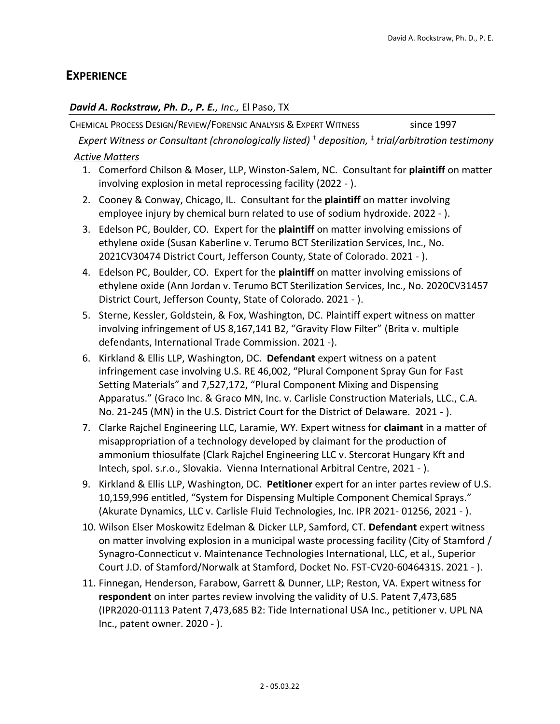### **EXPERIENCE**

#### *David A. Rockstraw, Ph. D., P. E., Inc.,* El Paso, TX

CHEMICAL PROCESS DESIGN/REVIEW/FORENSIC ANALYSIS & EXPERT WITNESS since 1997

*Expert Witness or Consultant (chronologically listed)* † *deposition,* ‡ *trial/arbitration testimony*

#### *Active Matters*

- 1. Comerford Chilson & Moser, LLP, Winston-Salem, NC. Consultant for **plaintiff** on matter involving explosion in metal reprocessing facility (2022 - ).
- 2. Cooney & Conway, Chicago, IL. Consultant for the **plaintiff** on matter involving employee injury by chemical burn related to use of sodium hydroxide. 2022 - ).
- 3. Edelson PC, Boulder, CO. Expert for the **plaintiff** on matter involving emissions of ethylene oxide (Susan Kaberline v. Terumo BCT Sterilization Services, Inc., No. 2021CV30474 District Court, Jefferson County, State of Colorado. 2021 - ).
- 4. Edelson PC, Boulder, CO. Expert for the **plaintiff** on matter involving emissions of ethylene oxide (Ann Jordan v. Terumo BCT Sterilization Services, Inc., No. 2020CV31457 District Court, Jefferson County, State of Colorado. 2021 - ).
- 5. Sterne, Kessler, Goldstein, & Fox, Washington, DC. Plaintiff expert witness on matter involving infringement of US 8,167,141 B2, "Gravity Flow Filter" (Brita v. multiple defendants, International Trade Commission. 2021 -).
- 6. Kirkland & Ellis LLP, Washington, DC. **Defendant** expert witness on a patent infringement case involving U.S. RE 46,002, "Plural Component Spray Gun for Fast Setting Materials" and 7,527,172, "Plural Component Mixing and Dispensing Apparatus." (Graco Inc. & Graco MN, Inc. v. Carlisle Construction Materials, LLC., C.A. No. 21-245 (MN) in the U.S. District Court for the District of Delaware. 2021 - ).
- 7. Clarke Rajchel Engineering LLC, Laramie, WY. Expert witness for **claimant** in a matter of misappropriation of a technology developed by claimant for the production of ammonium thiosulfate (Clark Rajchel Engineering LLC v. Stercorat Hungary Kft and Intech, spol. s.r.o., Slovakia. Vienna International Arbitral Centre, 2021 - ).
- 9. Kirkland & Ellis LLP, Washington, DC. **Petitioner** expert for an inter partes review of U.S. 10,159,996 entitled, "System for Dispensing Multiple Component Chemical Sprays." (Akurate Dynamics, LLC v. Carlisle Fluid Technologies, Inc. IPR 2021- 01256, 2021 - ).
- 10. Wilson Elser Moskowitz Edelman & Dicker LLP, Samford, CT. **Defendant** expert witness on matter involving explosion in a municipal waste processing facility (City of Stamford / Synagro-Connecticut v. Maintenance Technologies International, LLC, et al., Superior Court J.D. of Stamford/Norwalk at Stamford, Docket No. FST-CV20-6046431S. 2021 - ).
- 11. Finnegan, Henderson, Farabow, Garrett & Dunner, LLP; Reston, VA. Expert witness for **respondent** on inter partes review involving the validity of U.S. Patent 7,473,685 (IPR2020-01113 Patent 7,473,685 B2: Tide International USA Inc., petitioner v. UPL NA Inc., patent owner. 2020 - ).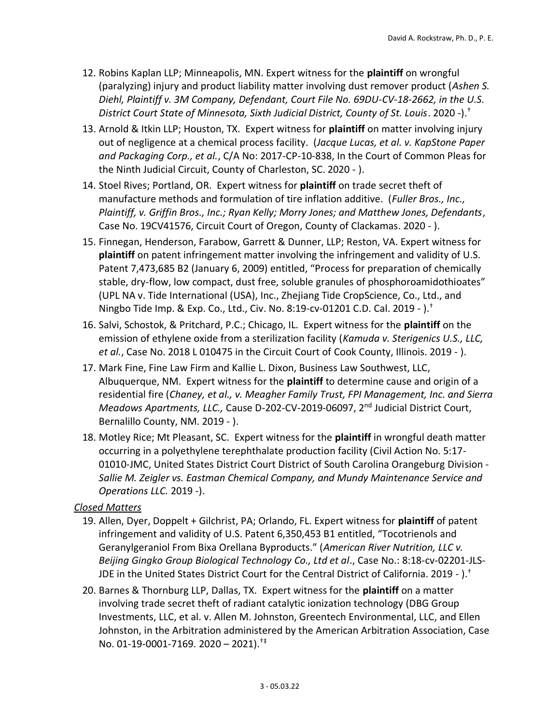- 12. Robins Kaplan LLP; Minneapolis, MN. Expert witness for the **plaintiff** on wrongful (paralyzing) injury and product liability matter involving dust remover product (*Ashen S. Diehl, Plaintiff v. 3M Company, Defendant, Court File No. 69DU-CV-18-2662, in the U.S. District Court State of Minnesota, Sixth Judicial District, County of St. Louis*. 2020 -).†
- 13. Arnold & Itkin LLP; Houston, TX. Expert witness for **plaintiff** on matter involving injury out of negligence at a chemical process facility. (*Jacque Lucas, et al. v. KapStone Paper and Packaging Corp., et al.*, C/A No: 2017-CP-10-838, In the Court of Common Pleas for the Ninth Judicial Circuit, County of Charleston, SC. 2020 - ).
- 14. Stoel Rives; Portland, OR. Expert witness for **plaintiff** on trade secret theft of manufacture methods and formulation of tire inflation additive. (*Fuller Bros., Inc., Plaintiff, v. Griffin Bros., Inc.; Ryan Kelly; Morry Jones; and Matthew Jones, Defendants*, Case No. 19CV41576, Circuit Court of Oregon, County of Clackamas. 2020 - ).
- 15. Finnegan, Henderson, Farabow, Garrett & Dunner, LLP; Reston, VA. Expert witness for **plaintiff** on patent infringement matter involving the infringement and validity of U.S. Patent 7,473,685 B2 (January 6, 2009) entitled, "Process for preparation of chemically stable, dry-flow, low compact, dust free, soluble granules of phosphoroamidothioates" (UPL NA v. Tide International (USA), Inc., Zhejiang Tide CropScience, Co., Ltd., and Ningbo Tide Imp. & Exp. Co., Ltd., Civ. No. 8:19-cv-01201 C.D. Cal. 2019 - ).†
- 16. Salvi, Schostok, & Pritchard, P.C.; Chicago, IL. Expert witness for the **plaintiff** on the emission of ethylene oxide from a sterilization facility (*Kamuda v. Sterigenics U.S., LLC, et al.*, Case No. 2018 L 010475 in the Circuit Court of Cook County, Illinois. 2019 - ).
- 17. Mark Fine, Fine Law Firm and Kallie L. Dixon, Business Law Southwest, LLC, Albuquerque, NM. Expert witness for the **plaintiff** to determine cause and origin of a residential fire (*Chaney, et al., v. Meagher Family Trust, FPI Management, Inc. and Sierra Meadows Apartments, LLC.,* Cause D-202-CV-2019-06097, 2nd Judicial District Court, Bernalillo County, NM. 2019 - ).
- 18. Motley Rice; Mt Pleasant, SC. Expert witness for the **plaintiff** in wrongful death matter occurring in a polyethylene terephthalate production facility (Civil Action No. 5:17- 01010-JMC, United States District Court District of South Carolina Orangeburg Division - *Sallie M. Zeigler vs. Eastman Chemical Company, and Mundy Maintenance Service and Operations LLC.* 2019 -).

#### *Closed Matters*

- 19. Allen, Dyer, Doppelt + Gilchrist, PA; Orlando, FL. Expert witness for **plaintiff** of patent infringement and validity of U.S. Patent 6,350,453 B1 entitled, "Tocotrienols and Geranylgeraniol From Bixa Orellana Byproducts." (*American River Nutrition, LLC v. Beijing Gingko Group Biological Technology Co., Ltd et al*., Case No.: 8:18-cv-02201-JLS-JDE in the United States District Court for the Central District of California. 2019 - .<sup>†</sup>
- 20. Barnes & Thornburg LLP, Dallas, TX. Expert witness for the **plaintiff** on a matter involving trade secret theft of radiant catalytic ionization technology (DBG Group Investments, LLC, et al. v. Allen M. Johnston, Greentech Environmental, LLC, and Ellen Johnston, in the Arbitration administered by the American Arbitration Association, Case No. 01-19-0001-7169. 2020 – 2021).†‡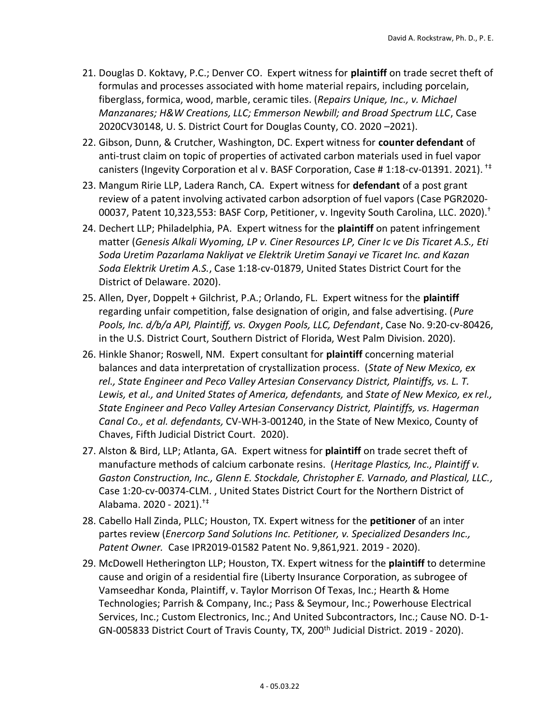- 21. Douglas D. Koktavy, P.C.; Denver CO. Expert witness for **plaintiff** on trade secret theft of formulas and processes associated with home material repairs, including porcelain, fiberglass, formica, wood, marble, ceramic tiles. (*Repairs Unique, Inc., v. Michael Manzanares; H&W Creations, LLC; Emmerson Newbill; and Broad Spectrum LLC*, Case 2020CV30148, U. S. District Court for Douglas County, CO. 2020 –2021).
- 22. Gibson, Dunn, & Crutcher, Washington, DC. Expert witness for **counter defendant** of anti-trust claim on topic of properties of activated carbon materials used in fuel vapor canisters (Ingevity Corporation et al v. BASF Corporation, Case # 1:18-cv-01391. 2021). †‡
- 23. Mangum Ririe LLP, Ladera Ranch, CA. Expert witness for **defendant** of a post grant review of a patent involving activated carbon adsorption of fuel vapors (Case PGR2020- 00037, Patent 10,323,553: BASF Corp, Petitioner, v. Ingevity South Carolina, LLC. 2020).†
- 24. Dechert LLP; Philadelphia, PA. Expert witness for the **plaintiff** on patent infringement matter (*Genesis Alkali Wyoming, LP v. Ciner Resources LP, Ciner Ic ve Dis Ticaret A.S., Eti Soda Uretim Pazarlama Nakliyat ve Elektrik Uretim Sanayi ve Ticaret Inc. and Kazan Soda Elektrik Uretim A.S.*, Case 1:18-cv-01879, United States District Court for the District of Delaware. 2020).
- 25. Allen, Dyer, Doppelt + Gilchrist, P.A.; Orlando, FL. Expert witness for the **plaintiff** regarding unfair competition, false designation of origin, and false advertising. (*Pure Pools, Inc. d/b/a API, Plaintiff, vs. Oxygen Pools, LLC, Defendant*, Case No. 9:20-cv-80426, in the U.S. District Court, Southern District of Florida, West Palm Division. 2020).
- 26. Hinkle Shanor; Roswell, NM. Expert consultant for **plaintiff** concerning material balances and data interpretation of crystallization process. (*State of New Mexico, ex rel., State Engineer and Peco Valley Artesian Conservancy District, Plaintiffs, vs. L. T. Lewis, et al., and United States of America, defendants,* and *State of New Mexico, ex rel., State Engineer and Peco Valley Artesian Conservancy District, Plaintiffs, vs. Hagerman Canal Co., et al. defendants,* CV-WH-3-001240, in the State of New Mexico, County of Chaves, Fifth Judicial District Court. 2020).
- 27. Alston & Bird, LLP; Atlanta, GA. Expert witness for **plaintiff** on trade secret theft of manufacture methods of calcium carbonate resins. (*Heritage Plastics, Inc., Plaintiff v. Gaston Construction, Inc., Glenn E. Stockdale, Christopher E. Varnado, and Plastical, LLC.,* Case 1:20-cv-00374-CLM. , United States District Court for the Northern District of Alabama. 2020 - 2021).†‡
- 28. Cabello Hall Zinda, PLLC; Houston, TX. Expert witness for the **petitioner** of an inter partes review (*Enercorp Sand Solutions Inc. Petitioner, v. Specialized Desanders Inc., Patent Owner.* Case IPR2019-01582 Patent No. 9,861,921. 2019 - 2020).
- 29. McDowell Hetherington LLP; Houston, TX. Expert witness for the **plaintiff** to determine cause and origin of a residential fire (Liberty Insurance Corporation, as subrogee of Vamseedhar Konda, Plaintiff, v. Taylor Morrison Of Texas, Inc.; Hearth & Home Technologies; Parrish & Company, Inc.; Pass & Seymour, Inc.; Powerhouse Electrical Services, Inc.; Custom Electronics, Inc.; And United Subcontractors, Inc.; Cause NO. D-1- GN-005833 District Court of Travis County, TX, 200<sup>th</sup> Judicial District. 2019 - 2020).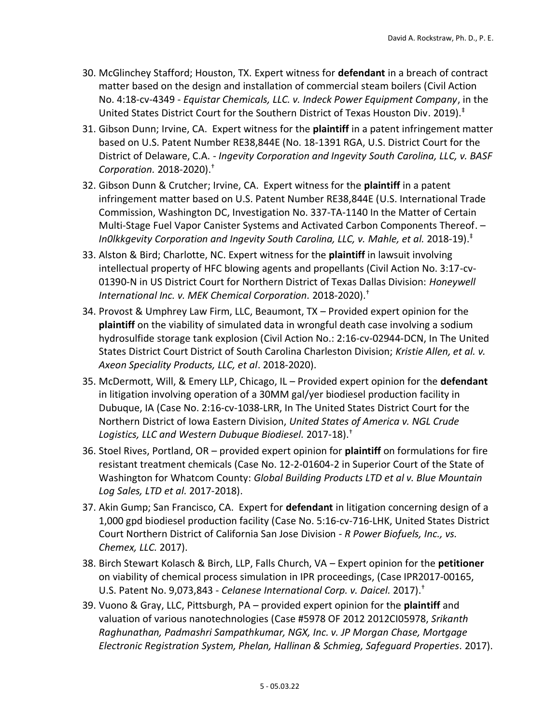- 30. McGlinchey Stafford; Houston, TX. Expert witness for **defendant** in a breach of contract matter based on the design and installation of commercial steam boilers (Civil Action No. 4:18-cv-4349 - *Equistar Chemicals, LLC. v. Indeck Power Equipment Company*, in the United States District Court for the Southern District of Texas Houston Div. 2019). ‡
- 31. Gibson Dunn; Irvine, CA. Expert witness for the **plaintiff** in a patent infringement matter based on U.S. Patent Number RE38,844E (No. 18-1391 RGA, U.S. District Court for the District of Delaware, C.A. - *Ingevity Corporation and Ingevity South Carolina, LLC, v. BASF Corporation.* 2018-2020).†
- 32. Gibson Dunn & Crutcher; Irvine, CA. Expert witness for the **plaintiff** in a patent infringement matter based on U.S. Patent Number RE38,844E (U.S. International Trade Commission, Washington DC, Investigation No. 337-TA-1140 In the Matter of Certain Multi-Stage Fuel Vapor Canister Systems and Activated Carbon Components Thereof. – *In0lkkgevity Corporation and Ingevity South Carolina, LLC, v. Mahle, et al.* 2018-19).‡
- 33. Alston & Bird; Charlotte, NC. Expert witness for the **plaintiff** in lawsuit involving intellectual property of HFC blowing agents and propellants (Civil Action No. 3:17-cv-01390-N in US District Court for Northern District of Texas Dallas Division: *Honeywell International Inc. v. MEK Chemical Corporation.* 2018-2020).†
- 34. Provost & Umphrey Law Firm, LLC, Beaumont, TX Provided expert opinion for the **plaintiff** on the viability of simulated data in wrongful death case involving a sodium hydrosulfide storage tank explosion (Civil Action No.: 2:16-cv-02944-DCN, In The United States District Court District of South Carolina Charleston Division; *Kristie Allen, et al. v. Axeon Speciality Products, LLC, et al*. 2018-2020).
- 35. McDermott, Will, & Emery LLP, Chicago, IL Provided expert opinion for the **defendant** in litigation involving operation of a 30MM gal/yer biodiesel production facility in Dubuque, IA (Case No. 2:16-cv-1038-LRR, In The United States District Court for the Northern District of Iowa Eastern Division, *United States of America v. NGL Crude Logistics, LLC and Western Dubuque Biodiesel.* 2017-18).†
- 36. Stoel Rives, Portland, OR provided expert opinion for **plaintiff** on formulations for fire resistant treatment chemicals (Case No. 12-2-01604-2 in Superior Court of the State of Washington for Whatcom County: *Global Building Products LTD et al v. Blue Mountain Log Sales, LTD et al.* 2017-2018).
- 37. Akin Gump; San Francisco, CA. Expert for **defendant** in litigation concerning design of a 1,000 gpd biodiesel production facility (Case No. 5:16-cv-716-LHK, United States District Court Northern District of California San Jose Division - *R Power Biofuels, Inc., vs. Chemex, LLC.* 2017).
- 38. Birch Stewart Kolasch & Birch, LLP, Falls Church, VA Expert opinion for the **petitioner** on viability of chemical process simulation in IPR proceedings, (Case IPR2017-00165, U.S. Patent No. 9,073,843 - *Celanese International Corp. v. Daicel.* 2017). †
- 39. Vuono & Gray, LLC, Pittsburgh, PA provided expert opinion for the **plaintiff** and valuation of various nanotechnologies (Case #5978 OF 2012 2012CI05978, *Srikanth Raghunathan, Padmashri Sampathkumar, NGX, Inc. v. JP Morgan Chase, Mortgage Electronic Registration System, Phelan, Hallinan & Schmieg, Safeguard Properties.* 2017).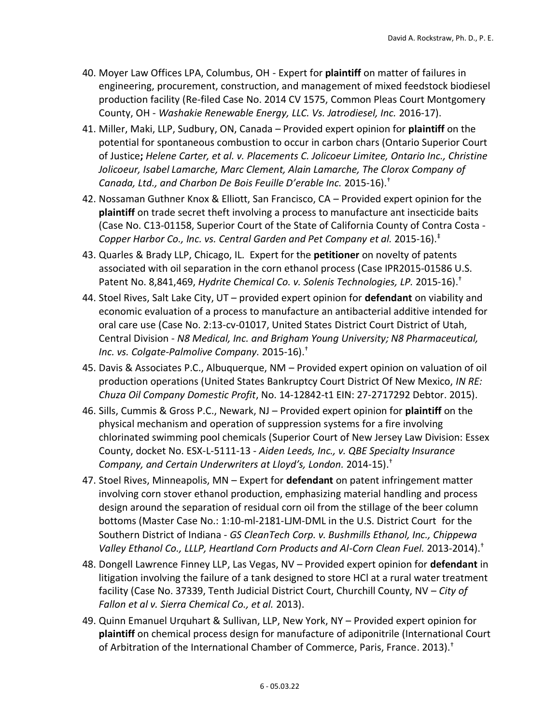- 40. Moyer Law Offices LPA, Columbus, OH Expert for **plaintiff** on matter of failures in engineering, procurement, construction, and management of mixed feedstock biodiesel production facility (Re-filed Case No. 2014 CV 1575, Common Pleas Court Montgomery County, OH - *Washakie Renewable Energy, LLC. Vs. Jatrodiesel, Inc.* 2016-17).
- 41. Miller, Maki, LLP, Sudbury, ON, Canada Provided expert opinion for **plaintiff** on the potential for spontaneous combustion to occur in carbon chars (Ontario Superior Court of Justice**;** *Helene Carter, et al. v. Placements C. Jolicoeur Limitee, Ontario Inc., Christine Jolicoeur, Isabel Lamarche, Marc Clement, Alain Lamarche, The Clorox Company of Canada, Ltd., and Charbon De Bois Feuille D'erable Inc.* 2015-16).†
- 42. Nossaman Guthner Knox & Elliott, San Francisco, CA Provided expert opinion for the **plaintiff** on trade secret theft involving a process to manufacture ant insecticide baits (Case No. C13-01158, Superior Court of the State of California County of Contra Costa - *Copper Harbor Co., Inc. vs. Central Garden and Pet Company et al.* 2015-16).‡
- 43. Quarles & Brady LLP, Chicago, IL. Expert for the **petitioner** on novelty of patents associated with oil separation in the corn ethanol process (Case IPR2015-01586 U.S. Patent No. 8,841,469, *Hydrite Chemical Co. v. Solenis Technologies, LP.* 2015-16).†
- 44. Stoel Rives, Salt Lake City, UT provided expert opinion for **defendant** on viability and economic evaluation of a process to manufacture an antibacterial additive intended for oral care use (Case No. 2:13-cv-01017, United States District Court District of Utah, Central Division - *N8 Medical, Inc. and Brigham Young University; N8 Pharmaceutical, Inc. vs. Colgate-Palmolive Company.* 2015-16). †
- 45. Davis & Associates P.C., Albuquerque, NM Provided expert opinion on valuation of oil production operations (United States Bankruptcy Court District Of New Mexico, *IN RE: Chuza Oil Company Domestic Profit*, No. 14-12842-t1 EIN: 27-2717292 Debtor. 2015).
- 46. Sills, Cummis & Gross P.C., Newark, NJ Provided expert opinion for **plaintiff** on the physical mechanism and operation of suppression systems for a fire involving chlorinated swimming pool chemicals (Superior Court of New Jersey Law Division: Essex County, docket No. ESX-L-5111-13 - *Aiden Leeds, Inc., v. QBE Specialty Insurance Company, and Certain Underwriters at Lloyd's, London.* 2014-15).†
- 47. Stoel Rives, Minneapolis, MN Expert for **defendant** on patent infringement matter involving corn stover ethanol production, emphasizing material handling and process design around the separation of residual corn oil from the stillage of the beer column bottoms (Master Case No.: 1:10-ml-2181-LJM-DML in the U.S. District Court for the Southern District of Indiana - *GS CleanTech Corp. v. Bushmills Ethanol, Inc., Chippewa Valley Ethanol Co., LLLP, Heartland Corn Products and Al-Corn Clean Fuel.* 2013-2014).†
- 48. Dongell Lawrence Finney LLP, Las Vegas, NV Provided expert opinion for **defendant** in litigation involving the failure of a tank designed to store HCl at a rural water treatment facility (Case No. 37339, Tenth Judicial District Court, Churchill County, NV – *City of Fallon et al v. Sierra Chemical Co., et al.* 2013).
- 49. Quinn Emanuel Urquhart & Sullivan, LLP, New York, NY Provided expert opinion for **plaintiff** on chemical process design for manufacture of adiponitrile (International Court of Arbitration of the International Chamber of Commerce, Paris, France. 2013).†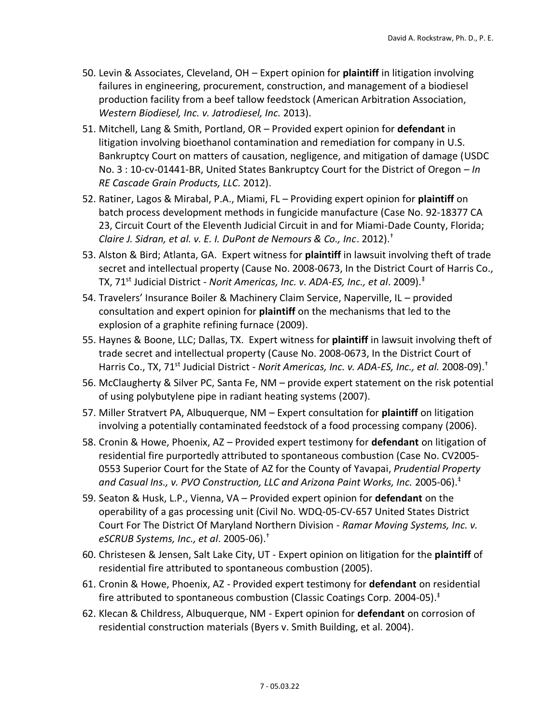- 50. Levin & Associates, Cleveland, OH Expert opinion for **plaintiff** in litigation involving failures in engineering, procurement, construction, and management of a biodiesel production facility from a beef tallow feedstock (American Arbitration Association, *Western Biodiesel, Inc. v. Jatrodiesel, Inc.* 2013).
- 51. Mitchell, Lang & Smith, Portland, OR Provided expert opinion for **defendant** in litigation involving bioethanol contamination and remediation for company in U.S. Bankruptcy Court on matters of causation, negligence, and mitigation of damage (USDC No. 3 : 10-cv-01441-BR, United States Bankruptcy Court for the District of Oregon – *In RE Cascade Grain Products, LLC.* 2012).
- 52. Ratiner, Lagos & Mirabal, P.A., Miami, FL Providing expert opinion for **plaintiff** on batch process development methods in fungicide manufacture (Case No. 92-18377 CA 23, Circuit Court of the Eleventh Judicial Circuit in and for Miami-Dade County, Florida; *Claire J. Sidran, et al. v. E. I. DuPont de Nemours & Co., Inc*. 2012). †
- 53. Alston & Bird; Atlanta, GA. Expert witness for **plaintiff** in lawsuit involving theft of trade secret and intellectual property (Cause No. 2008-0673, In the District Court of Harris Co., TX, 71st Judicial District - *Norit Americas, Inc. v. ADA-ES, Inc., et al*. 2009).‡
- 54. Travelers' Insurance Boiler & Machinery Claim Service, Naperville, IL provided consultation and expert opinion for **plaintiff** on the mechanisms that led to the explosion of a graphite refining furnace (2009).
- 55. Haynes & Boone, LLC; Dallas, TX. Expert witness for **plaintiff** in lawsuit involving theft of trade secret and intellectual property (Cause No. 2008-0673, In the District Court of Harris Co., TX, 71<sup>st</sup> Judicial District - *Norit Americas, Inc. v. ADA-ES, Inc., et al.* 2008-09).<sup>†</sup>
- 56. McClaugherty & Silver PC, Santa Fe, NM provide expert statement on the risk potential of using polybutylene pipe in radiant heating systems (2007).
- 57. Miller Stratvert PA, Albuquerque, NM Expert consultation for **plaintiff** on litigation involving a potentially contaminated feedstock of a food processing company (2006).
- 58. Cronin & Howe, Phoenix, AZ Provided expert testimony for **defendant** on litigation of residential fire purportedly attributed to spontaneous combustion (Case No. CV2005- 0553 Superior Court for the State of AZ for the County of Yavapai, *Prudential Property and Casual Ins., v. PVO Construction, LLC and Arizona Paint Works, Inc.* 2005-06).‡
- 59. Seaton & Husk, L.P., Vienna, VA Provided expert opinion for **defendant** on the operability of a gas processing unit (Civil No. WDQ-05-CV-657 United States District Court For The District Of Maryland Northern Division - *Ramar Moving Systems, Inc. v. eSCRUB Systems, Inc., et al*. 2005-06).†
- 60. Christesen & Jensen, Salt Lake City, UT Expert opinion on litigation for the **plaintiff** of residential fire attributed to spontaneous combustion (2005).
- 61. Cronin & Howe, Phoenix, AZ Provided expert testimony for **defendant** on residential fire attributed to spontaneous combustion (Classic Coatings Corp. 2004-05).<sup>‡</sup>
- 62. Klecan & Childress, Albuquerque, NM Expert opinion for **defendant** on corrosion of residential construction materials (Byers v. Smith Building, et al. 2004).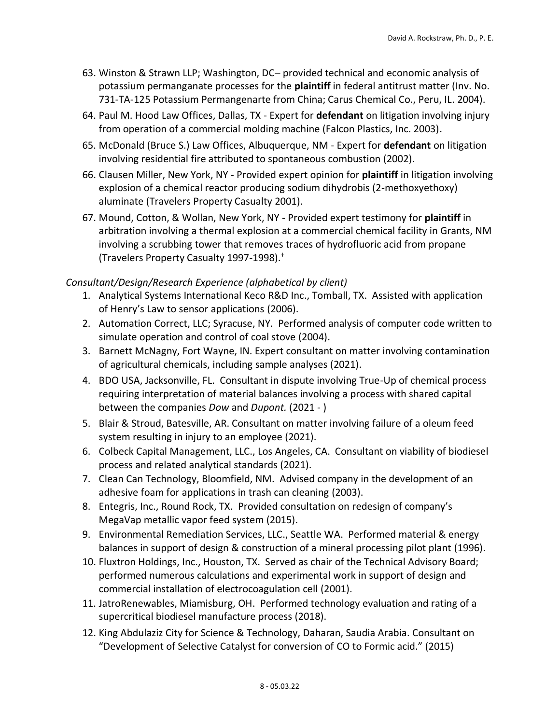- 63. Winston & Strawn LLP; Washington, DC– provided technical and economic analysis of potassium permanganate processes for the **plaintiff** in federal antitrust matter (Inv. No. 731-TA-125 Potassium Permangenarte from China; Carus Chemical Co., Peru, IL. 2004).
- 64. Paul M. Hood Law Offices, Dallas, TX Expert for **defendant** on litigation involving injury from operation of a commercial molding machine (Falcon Plastics, Inc. 2003).
- 65. McDonald (Bruce S.) Law Offices, Albuquerque, NM Expert for **defendant** on litigation involving residential fire attributed to spontaneous combustion (2002).
- 66. Clausen Miller, New York, NY Provided expert opinion for **plaintiff** in litigation involving explosion of a chemical reactor producing sodium dihydrobis (2-methoxyethoxy) aluminate (Travelers Property Casualty 2001).
- 67. Mound, Cotton, & Wollan, New York, NY Provided expert testimony for **plaintiff** in arbitration involving a thermal explosion at a commercial chemical facility in Grants, NM involving a scrubbing tower that removes traces of hydrofluoric acid from propane (Travelers Property Casualty 1997-1998).†

#### *Consultant/Design/Research Experience (alphabetical by client)*

- 1. Analytical Systems International Keco R&D Inc., Tomball, TX. Assisted with application of Henry's Law to sensor applications (2006).
- 2. Automation Correct, LLC; Syracuse, NY. Performed analysis of computer code written to simulate operation and control of coal stove (2004).
- 3. Barnett McNagny, Fort Wayne, IN. Expert consultant on matter involving contamination of agricultural chemicals, including sample analyses (2021).
- 4. BDO USA, Jacksonville, FL. Consultant in dispute involving True-Up of chemical process requiring interpretation of material balances involving a process with shared capital between the companies *Dow* and *Dupont.* (2021 - )
- 5. Blair & Stroud, Batesville, AR. Consultant on matter involving failure of a oleum feed system resulting in injury to an employee (2021).
- 6. Colbeck Capital Management, LLC., Los Angeles, CA. Consultant on viability of biodiesel process and related analytical standards (2021).
- 7. Clean Can Technology, Bloomfield, NM. Advised company in the development of an adhesive foam for applications in trash can cleaning (2003).
- 8. Entegris, Inc., Round Rock, TX. Provided consultation on redesign of company's MegaVap metallic vapor feed system (2015).
- 9. Environmental Remediation Services, LLC., Seattle WA. Performed material & energy balances in support of design & construction of a mineral processing pilot plant (1996).
- 10. Fluxtron Holdings, Inc., Houston, TX. Served as chair of the Technical Advisory Board; performed numerous calculations and experimental work in support of design and commercial installation of electrocoagulation cell (2001).
- 11. JatroRenewables, Miamisburg, OH. Performed technology evaluation and rating of a supercritical biodiesel manufacture process (2018).
- 12. King Abdulaziz City for Science & Technology, Daharan, Saudia Arabia. Consultant on "Development of Selective Catalyst for conversion of CO to Formic acid." (2015)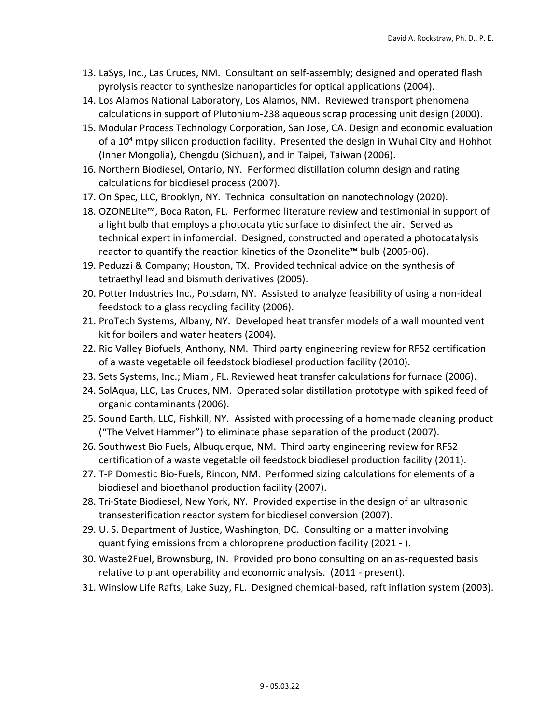- 13. LaSys, Inc., Las Cruces, NM. Consultant on self-assembly; designed and operated flash pyrolysis reactor to synthesize nanoparticles for optical applications (2004).
- 14. Los Alamos National Laboratory, Los Alamos, NM. Reviewed transport phenomena calculations in support of Plutonium-238 aqueous scrap processing unit design (2000).
- 15. Modular Process Technology Corporation, San Jose, CA. Design and economic evaluation of a 10<sup>4</sup> mtpy silicon production facility. Presented the design in Wuhai City and Hohhot (Inner Mongolia), Chengdu (Sichuan), and in Taipei, Taiwan (2006).
- 16. Northern Biodiesel, Ontario, NY. Performed distillation column design and rating calculations for biodiesel process (2007).
- 17. On Spec, LLC, Brooklyn, NY. Technical consultation on nanotechnology (2020).
- 18. OZONELite™, Boca Raton, FL. Performed literature review and testimonial in support of a light bulb that employs a photocatalytic surface to disinfect the air. Served as technical expert in infomercial. Designed, constructed and operated a photocatalysis reactor to quantify the reaction kinetics of the Ozonelite™ bulb (2005-06).
- 19. Peduzzi & Company; Houston, TX. Provided technical advice on the synthesis of tetraethyl lead and bismuth derivatives (2005).
- 20. Potter Industries Inc., Potsdam, NY. Assisted to analyze feasibility of using a non-ideal feedstock to a glass recycling facility (2006).
- 21. ProTech Systems, Albany, NY. Developed heat transfer models of a wall mounted vent kit for boilers and water heaters (2004).
- 22. Rio Valley Biofuels, Anthony, NM. Third party engineering review for RFS2 certification of a waste vegetable oil feedstock biodiesel production facility (2010).
- 23. Sets Systems, Inc.; Miami, FL. Reviewed heat transfer calculations for furnace (2006).
- 24. SolAqua, LLC, Las Cruces, NM. Operated solar distillation prototype with spiked feed of organic contaminants (2006).
- 25. Sound Earth, LLC, Fishkill, NY. Assisted with processing of a homemade cleaning product ("The Velvet Hammer") to eliminate phase separation of the product (2007).
- 26. Southwest Bio Fuels, Albuquerque, NM. Third party engineering review for RFS2 certification of a waste vegetable oil feedstock biodiesel production facility (2011).
- 27. T-P Domestic Bio-Fuels, Rincon, NM. Performed sizing calculations for elements of a biodiesel and bioethanol production facility (2007).
- 28. Tri-State Biodiesel, New York, NY. Provided expertise in the design of an ultrasonic transesterification reactor system for biodiesel conversion (2007).
- 29. U. S. Department of Justice, Washington, DC. Consulting on a matter involving quantifying emissions from a chloroprene production facility (2021 - ).
- 30. Waste2Fuel, Brownsburg, IN. Provided pro bono consulting on an as-requested basis relative to plant operability and economic analysis. (2011 - present).
- 31. Winslow Life Rafts, Lake Suzy, FL. Designed chemical-based, raft inflation system (2003).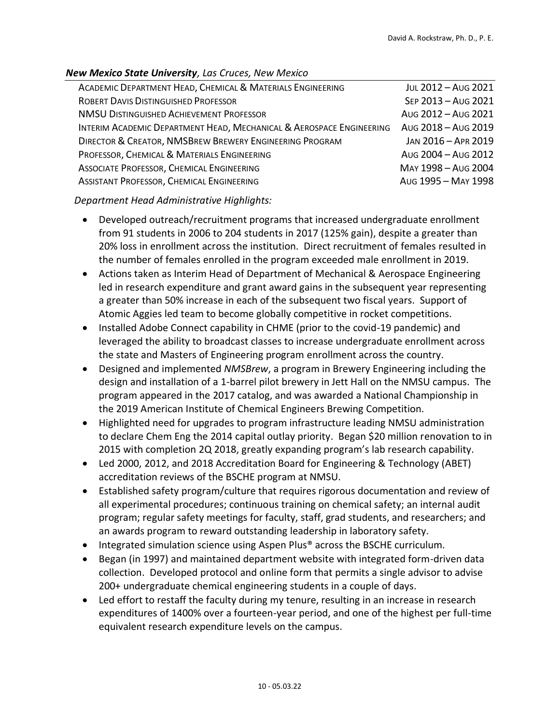#### *New Mexico State University, Las Cruces, New Mexico*

| ACADEMIC DEPARTMENT HEAD, CHEMICAL & MATERIALS ENGINEERING           | JUL 2012 - AUG 2021 |
|----------------------------------------------------------------------|---------------------|
| ROBERT DAVIS DISTINGUISHED PROFESSOR                                 | SEP 2013 - AUG 2021 |
| NMSU DISTINGUISHED ACHIEVEMENT PROFESSOR                             | Aug 2012 - Aug 2021 |
| INTERIM ACADEMIC DEPARTMENT HEAD, MECHANICAL & AEROSPACE ENGINEERING | Aug 2018 - Aug 2019 |
| DIRECTOR & CREATOR, NMSBREW BREWERY ENGINEERING PROGRAM              | JAN 2016 - APR 2019 |
| PROFESSOR, CHEMICAL & MATERIALS ENGINEERING                          | Aug 2004 - Aug 2012 |
| ASSOCIATE PROFESSOR, CHEMICAL ENGINEERING                            | MAY 1998 - Aug 2004 |
| <b>ASSISTANT PROFESSOR, CHEMICAL ENGINEERING</b>                     | Aug 1995 - May 1998 |

#### *Department Head Administrative Highlights:*

- Developed outreach/recruitment programs that increased undergraduate enrollment from 91 students in 2006 to 204 students in 2017 (125% gain), despite a greater than 20% loss in enrollment across the institution. Direct recruitment of females resulted in the number of females enrolled in the program exceeded male enrollment in 2019.
- Actions taken as Interim Head of Department of Mechanical & Aerospace Engineering led in research expenditure and grant award gains in the subsequent year representing a greater than 50% increase in each of the subsequent two fiscal years. Support of Atomic Aggies led team to become globally competitive in rocket competitions.
- Installed Adobe Connect capability in CHME (prior to the covid-19 pandemic) and leveraged the ability to broadcast classes to increase undergraduate enrollment across the state and Masters of Engineering program enrollment across the country.
- Designed and implemented *NMSBrew*, a program in Brewery Engineering including the design and installation of a 1-barrel pilot brewery in Jett Hall on the NMSU campus. The program appeared in the 2017 catalog, and was awarded a National Championship in the 2019 American Institute of Chemical Engineers Brewing Competition.
- Highlighted need for upgrades to program infrastructure leading NMSU administration to declare Chem Eng the 2014 capital outlay priority. Began \$20 million renovation to in 2015 with completion 2Q 2018, greatly expanding program's lab research capability.
- Led 2000, 2012, and 2018 Accreditation Board for Engineering & Technology (ABET) accreditation reviews of the BSCHE program at NMSU.
- Established safety program/culture that requires rigorous documentation and review of all experimental procedures; continuous training on chemical safety; an internal audit program; regular safety meetings for faculty, staff, grad students, and researchers; and an awards program to reward outstanding leadership in laboratory safety.
- Integrated simulation science using Aspen Plus® across the BSCHE curriculum.
- Began (in 1997) and maintained department website with integrated form-driven data collection. Developed protocol and online form that permits a single advisor to advise 200+ undergraduate chemical engineering students in a couple of days.
- Led effort to restaff the faculty during my tenure, resulting in an increase in research expenditures of 1400% over a fourteen-year period, and one of the highest per full-time equivalent research expenditure levels on the campus.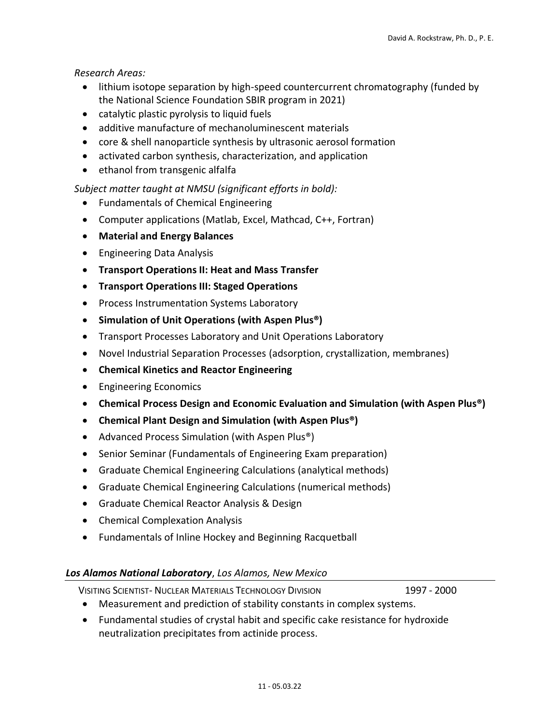#### *Research Areas:*

- lithium isotope separation by high-speed countercurrent chromatography (funded by the National Science Foundation SBIR program in 2021)
- catalytic plastic pyrolysis to liquid fuels
- additive manufacture of mechanoluminescent materials
- core & shell nanoparticle synthesis by ultrasonic aerosol formation
- activated carbon synthesis, characterization, and application
- ethanol from transgenic alfalfa

#### *Subject matter taught at NMSU (significant efforts in bold):*

- Fundamentals of Chemical Engineering
- Computer applications (Matlab, Excel, Mathcad, C++, Fortran)
- **Material and Energy Balances**
- Engineering Data Analysis
- **Transport Operations II: Heat and Mass Transfer**
- **Transport Operations III: Staged Operations**
- Process Instrumentation Systems Laboratory
- **Simulation of Unit Operations (with Aspen Plus®)**
- Transport Processes Laboratory and Unit Operations Laboratory
- Novel Industrial Separation Processes (adsorption, crystallization, membranes)
- **Chemical Kinetics and Reactor Engineering**
- Engineering Economics
- **Chemical Process Design and Economic Evaluation and Simulation (with Aspen Plus®)**
- **Chemical Plant Design and Simulation (with Aspen Plus®)**
- Advanced Process Simulation (with Aspen Plus<sup>®</sup>)
- Senior Seminar (Fundamentals of Engineering Exam preparation)
- Graduate Chemical Engineering Calculations (analytical methods)
- Graduate Chemical Engineering Calculations (numerical methods)
- Graduate Chemical Reactor Analysis & Design
- Chemical Complexation Analysis
- Fundamentals of Inline Hockey and Beginning Racquetball

#### *Los Alamos National Laboratory*, *Los Alamos, New Mexico*

VISITING SCIENTIST- NUCLEAR MATERIALS TECHNOLOGY DIVISION 1997 - 2000

- Measurement and prediction of stability constants in complex systems.
- Fundamental studies of crystal habit and specific cake resistance for hydroxide neutralization precipitates from actinide process.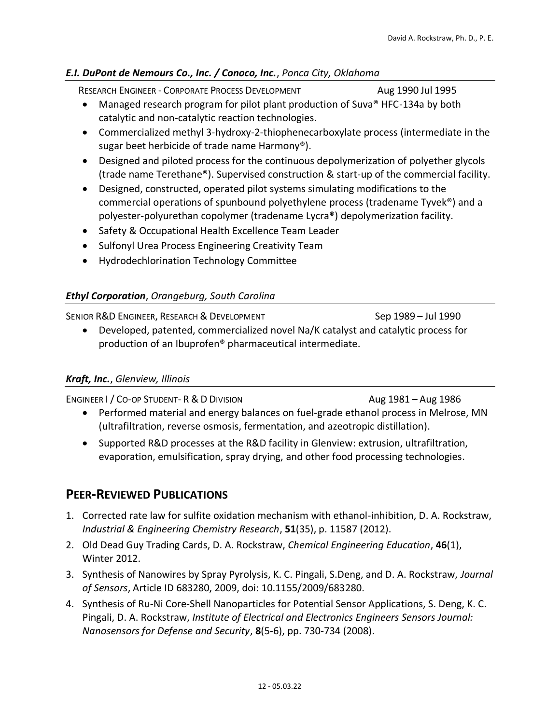#### *E.I. DuPont de Nemours Co., Inc. / Conoco, Inc.*, *Ponca City, Oklahoma*

RESEARCH ENGINEER - CORPORATE PROCESS DEVELOPMENT Aug 1990 Jul 1995

- Managed research program for pilot plant production of Suva® HFC-134a by both catalytic and non-catalytic reaction technologies.
- Commercialized methyl 3-hydroxy-2-thiophenecarboxylate process (intermediate in the sugar beet herbicide of trade name Harmony®).
- Designed and piloted process for the continuous depolymerization of polyether glycols (trade name Terethane®). Supervised construction & start-up of the commercial facility.
- Designed, constructed, operated pilot systems simulating modifications to the commercial operations of spunbound polyethylene process (tradename Tyvek®) and a polyester-polyurethan copolymer (tradename Lycra®) depolymerization facility.
- Safety & Occupational Health Excellence Team Leader
- Sulfonyl Urea Process Engineering Creativity Team
- Hydrodechlorination Technology Committee

#### *Ethyl Corporation*, *Orangeburg, South Carolina*

SENIOR R&D ENGINEER, RESEARCH & DEVELOPMENT SEP SEP 1989 - Jul 1990 • Developed, patented, commercialized novel Na/K catalyst and catalytic process for production of an Ibuprofen® pharmaceutical intermediate.

#### *Kraft, Inc.*, *Glenview, Illinois*

ENGINEER I / CO-OP STUDENT- R & D DIVISION AUGUST 2008 AUGUST 2009 AUGUST 2009

- Performed material and energy balances on fuel-grade ethanol process in Melrose, MN (ultrafiltration, reverse osmosis, fermentation, and azeotropic distillation).
- Supported R&D processes at the R&D facility in Glenview: extrusion, ultrafiltration, evaporation, emulsification, spray drying, and other food processing technologies.

### **PEER-REVIEWED PUBLICATIONS**

- 1. Corrected rate law for sulfite oxidation mechanism with ethanol-inhibition, D. A. Rockstraw, *Industrial & Engineering Chemistry Research*, **51**(35), p. 11587 (2012).
- 2. Old Dead Guy Trading Cards, D. A. Rockstraw, *Chemical Engineering Education*, **46**(1), Winter 2012.
- 3. Synthesis of Nanowires by Spray Pyrolysis, K. C. Pingali, S.Deng, and D. A. Rockstraw, *Journal of Sensors*, Article ID 683280, 2009, doi: 10.1155/2009/683280.
- 4. Synthesis of Ru-Ni Core-Shell Nanoparticles for Potential Sensor Applications, S. Deng, K. C. Pingali, D. A. Rockstraw, *Institute of Electrical and Electronics Engineers Sensors Journal: Nanosensors for Defense and Security*, **8**(5-6), pp. 730-734 (2008).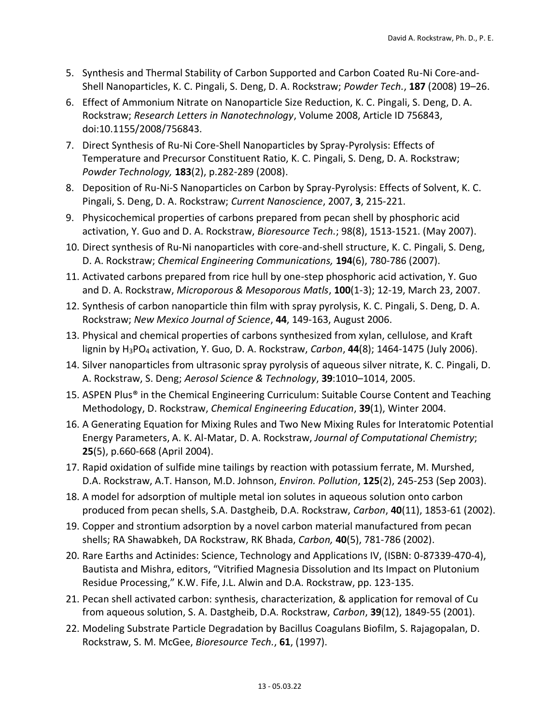- 5. Synthesis and Thermal Stability of Carbon Supported and Carbon Coated Ru-Ni Core-and-Shell Nanoparticles, K. C. Pingali, S. Deng, D. A. Rockstraw; *Powder Tech.*, **187** (2008) 19–26.
- 6. Effect of Ammonium Nitrate on Nanoparticle Size Reduction, K. C. Pingali, S. Deng, D. A. Rockstraw; *Research Letters in Nanotechnology*, Volume 2008, Article ID 756843, doi:10.1155/2008/756843.
- 7. Direct Synthesis of Ru-Ni Core-Shell Nanoparticles by Spray-Pyrolysis: Effects of Temperature and Precursor Constituent Ratio, K. C. Pingali, S. Deng, D. A. Rockstraw; *Powder Technology,* **183**(2), p.282-289 (2008).
- 8. Deposition of Ru-Ni-S Nanoparticles on Carbon by Spray-Pyrolysis: Effects of Solvent, K. C. Pingali, S. Deng, D. A. Rockstraw; *Current Nanoscience*, 2007, **3**, 215-221.
- 9. Physicochemical properties of carbons prepared from pecan shell by phosphoric acid activation, Y. Guo and D. A. Rockstraw, *Bioresource Tech.*; 98(8), 1513-1521. (May 2007).
- 10. Direct synthesis of Ru-Ni nanoparticles with core-and-shell structure, K. C. Pingali, S. Deng, D. A. Rockstraw; *Chemical Engineering Communications,* **194**(6), 780-786 (2007).
- 11. Activated carbons prepared from rice hull by one-step phosphoric acid activation, Y. Guo and D. A. Rockstraw, *Microporous & Mesoporous Matls*, **100**(1-3); 12-19, March 23, 2007.
- 12. Synthesis of carbon nanoparticle thin film with spray pyrolysis, K. C. Pingali, S. Deng, D. A. Rockstraw; *New Mexico Journal of Science*, **44**, 149-163, August 2006.
- 13. Physical and chemical properties of carbons synthesized from xylan, cellulose, and Kraft lignin by H3PO<sup>4</sup> activation, Y. Guo, D. A. Rockstraw, *Carbon*, **44**(8); 1464-1475 (July 2006).
- 14. Silver nanoparticles from ultrasonic spray pyrolysis of aqueous silver nitrate, K. C. Pingali, D. A. Rockstraw, S. Deng; *Aerosol Science & Technology*, **39**:1010–1014, 2005.
- 15. ASPEN Plus® in the Chemical Engineering Curriculum: Suitable Course Content and Teaching Methodology, D. Rockstraw, *Chemical Engineering Education*, **39**(1), Winter 2004.
- 16. A Generating Equation for Mixing Rules and Two New Mixing Rules for Interatomic Potential Energy Parameters, A. K. Al-Matar, D. A. Rockstraw, *Journal of Computational Chemistry*; **25**(5), p.660-668 (April 2004).
- 17. Rapid oxidation of sulfide mine tailings by reaction with potassium ferrate, M. Murshed, D.A. Rockstraw, A.T. Hanson, M.D. Johnson, *Environ. Pollution*, **125**(2), 245-253 (Sep 2003).
- 18. A model for adsorption of multiple metal ion solutes in aqueous solution onto carbon produced from pecan shells, S.A. Dastgheib, D.A. Rockstraw, *Carbon*, **40**(11), 1853-61 (2002).
- 19. Copper and strontium adsorption by a novel carbon material manufactured from pecan shells; RA Shawabkeh, DA Rockstraw, RK Bhada, *Carbon,* **40**(5), 781-786 (2002).
- 20. Rare Earths and Actinides: Science, Technology and Applications IV, (ISBN: 0-87339-470-4), Bautista and Mishra, editors, "Vitrified Magnesia Dissolution and Its Impact on Plutonium Residue Processing," K.W. Fife, J.L. Alwin and D.A. Rockstraw, pp. 123-135.
- 21. Pecan shell activated carbon: synthesis, characterization, & application for removal of Cu from aqueous solution, S. A. Dastgheib, D.A. Rockstraw, *Carbon*, **39**(12), 1849-55 (2001).
- 22. Modeling Substrate Particle Degradation by Bacillus Coagulans Biofilm, S. Rajagopalan, D. Rockstraw, S. M. McGee, *Bioresource Tech.*, **61**, (1997).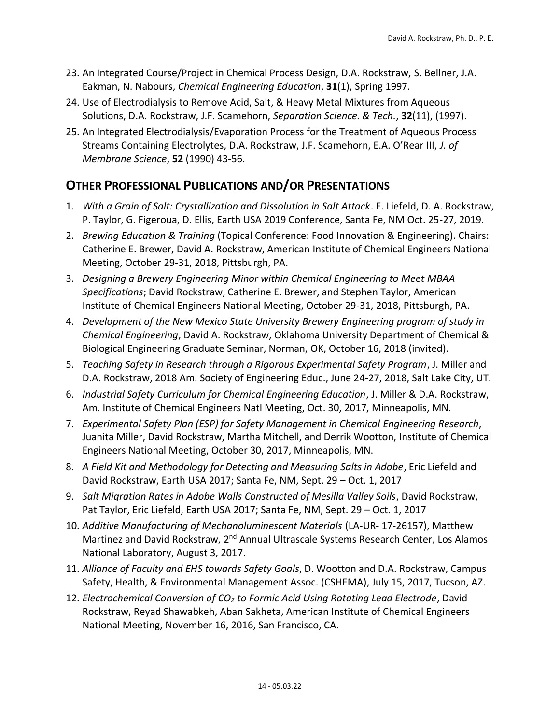- 23. An Integrated Course/Project in Chemical Process Design, D.A. Rockstraw, S. Bellner, J.A. Eakman, N. Nabours, *Chemical Engineering Education*, **31**(1), Spring 1997.
- 24. Use of Electrodialysis to Remove Acid, Salt, & Heavy Metal Mixtures from Aqueous Solutions, D.A. Rockstraw, J.F. Scamehorn, *Separation Science. & Tech.*, **32**(11), (1997).
- 25. An Integrated Electrodialysis/Evaporation Process for the Treatment of Aqueous Process Streams Containing Electrolytes, D.A. Rockstraw, J.F. Scamehorn, E.A. O'Rear III, *J. of Membrane Science*, **52** (1990) 43-56.

## **OTHER PROFESSIONAL PUBLICATIONS AND/OR PRESENTATIONS**

- 1. *With a Grain of Salt: Crystallization and Dissolution in Salt Attack*. E. Liefeld, D. A. Rockstraw, P. Taylor, G. Figeroua, D. Ellis, Earth USA 2019 Conference, Santa Fe, NM Oct. 25-27, 2019.
- 2. *Brewing Education & Training* (Topical Conference: Food Innovation & Engineering). Chairs: Catherine E. Brewer, David A. Rockstraw, American Institute of Chemical Engineers National Meeting, October 29-31, 2018, Pittsburgh, PA.
- 3. *Designing a Brewery Engineering Minor within Chemical Engineering to Meet MBAA Specifications*; David Rockstraw, Catherine E. Brewer, and Stephen Taylor, American Institute of Chemical Engineers National Meeting, October 29-31, 2018, Pittsburgh, PA.
- 4. *Development of the New Mexico State University Brewery Engineering program of study in Chemical Engineering*, David A. Rockstraw, Oklahoma University Department of Chemical & Biological Engineering Graduate Seminar, Norman, OK, October 16, 2018 (invited).
- 5. *Teaching Safety in Research through a Rigorous Experimental Safety Program*, J. Miller and D.A. Rockstraw, 2018 Am. Society of Engineering Educ., June 24-27, 2018, Salt Lake City, UT.
- 6. *Industrial Safety Curriculum for Chemical Engineering Education*, J. Miller & D.A. Rockstraw, Am. Institute of Chemical Engineers Natl Meeting, Oct. 30, 2017, Minneapolis, MN.
- 7. *Experimental Safety Plan (ESP) for Safety Management in Chemical Engineering Research*, Juanita Miller, David Rockstraw, Martha Mitchell, and Derrik Wootton, Institute of Chemical Engineers National Meeting, October 30, 2017, Minneapolis, MN.
- 8. *A Field Kit and Methodology for Detecting and Measuring Salts in Adobe*, Eric Liefeld and David Rockstraw, Earth USA 2017; Santa Fe, NM, Sept. 29 – Oct. 1, 2017
- 9. *Salt Migration Rates in Adobe Walls Constructed of Mesilla Valley Soils*, David Rockstraw, Pat Taylor, Eric Liefeld, Earth USA 2017; Santa Fe, NM, Sept. 29 – Oct. 1, 2017
- 10. *Additive Manufacturing of Mechanoluminescent Materials* (LA-UR- 17-26157), Matthew Martinez and David Rockstraw, 2<sup>nd</sup> Annual Ultrascale Systems Research Center, Los Alamos National Laboratory, August 3, 2017.
- 11. *Alliance of Faculty and EHS towards Safety Goals*, D. Wootton and D.A. Rockstraw, Campus Safety, Health, & Environmental Management Assoc. (CSHEMA), July 15, 2017, Tucson, AZ.
- 12. *Electrochemical Conversion of CO<sup>2</sup> to Formic Acid Using Rotating Lead Electrode*, David Rockstraw, Reyad Shawabkeh, Aban Sakheta, American Institute of Chemical Engineers National Meeting, November 16, 2016, San Francisco, CA.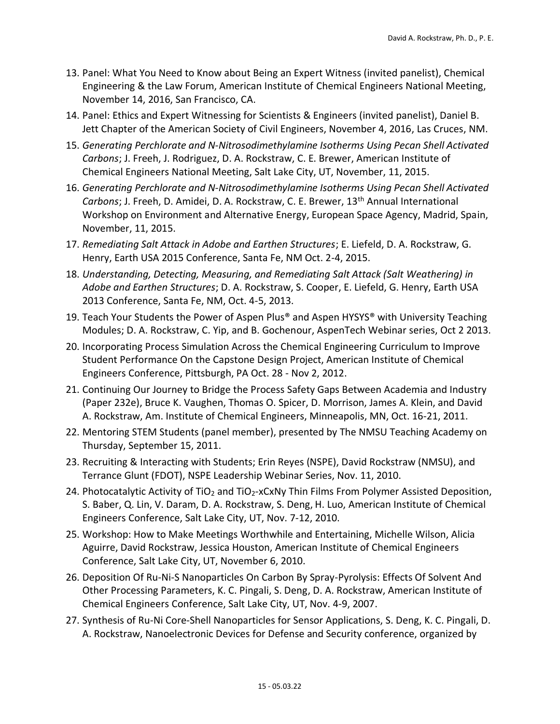- 13. Panel: What You Need to Know about Being an Expert Witness (invited panelist), Chemical Engineering & the Law Forum, American Institute of Chemical Engineers National Meeting, November 14, 2016, San Francisco, CA.
- 14. Panel: Ethics and Expert Witnessing for Scientists & Engineers (invited panelist), Daniel B. Jett Chapter of the American Society of Civil Engineers, November 4, 2016, Las Cruces, NM.
- 15. *Generating Perchlorate and N-Nitrosodimethylamine Isotherms Using Pecan Shell Activated Carbons*; J. Freeh, J. Rodriguez, D. A. Rockstraw, C. E. Brewer, American Institute of Chemical Engineers National Meeting, Salt Lake City, UT, November, 11, 2015.
- 16. *Generating Perchlorate and N-Nitrosodimethylamine Isotherms Using Pecan Shell Activated Carbons*; J. Freeh, D. Amidei, D. A. Rockstraw, C. E. Brewer, 13th Annual International Workshop on Environment and Alternative Energy, European Space Agency, Madrid, Spain, November, 11, 2015.
- 17. *Remediating Salt Attack in Adobe and Earthen Structures*; E. Liefeld, D. A. Rockstraw, G. Henry, Earth USA 2015 Conference, Santa Fe, NM Oct. 2-4, 2015.
- 18. *Understanding, Detecting, Measuring, and Remediating Salt Attack (Salt Weathering) in Adobe and Earthen Structures*; D. A. Rockstraw, S. Cooper, E. Liefeld, G. Henry, Earth USA 2013 Conference, Santa Fe, NM, Oct. 4-5, 2013.
- 19. Teach Your Students the Power of Aspen Plus® and Aspen HYSYS® with University Teaching Modules; D. A. Rockstraw, C. Yip, and B. Gochenour, AspenTech Webinar series, Oct 2 2013.
- 20. Incorporating Process Simulation Across the Chemical Engineering Curriculum to Improve Student Performance On the Capstone Design Project, American Institute of Chemical Engineers Conference, Pittsburgh, PA Oct. 28 - Nov 2, 2012.
- 21. Continuing Our Journey to Bridge the Process Safety Gaps Between Academia and Industry (Paper 232e), Bruce K. Vaughen, Thomas O. Spicer, D. Morrison, James A. Klein, and David A. Rockstraw, Am. Institute of Chemical Engineers, Minneapolis, MN, Oct. 16-21, 2011.
- 22. Mentoring STEM Students (panel member), presented by The NMSU Teaching Academy on Thursday, September 15, 2011.
- 23. Recruiting & Interacting with Students; Erin Reyes (NSPE), David Rockstraw (NMSU), and Terrance Glunt (FDOT), NSPE Leadership Webinar Series, Nov. 11, 2010.
- 24. Photocatalytic Activity of TiO<sub>2</sub> and TiO<sub>2</sub>-xCxNy Thin Films From Polymer Assisted Deposition, S. Baber, Q. Lin, V. Daram, D. A. Rockstraw, S. Deng, H. Luo, American Institute of Chemical Engineers Conference, Salt Lake City, UT, Nov. 7-12, 2010.
- 25. Workshop: How to Make Meetings Worthwhile and Entertaining, Michelle Wilson, Alicia Aguirre, David Rockstraw, Jessica Houston, American Institute of Chemical Engineers Conference, Salt Lake City, UT, November 6, 2010.
- 26. Deposition Of Ru-Ni-S Nanoparticles On Carbon By Spray-Pyrolysis: Effects Of Solvent And Other Processing Parameters, K. C. Pingali, S. Deng, D. A. Rockstraw, American Institute of Chemical Engineers Conference, Salt Lake City, UT, Nov. 4-9, 2007.
- 27. Synthesis of Ru-Ni Core-Shell Nanoparticles for Sensor Applications, S. Deng, K. C. Pingali, D. A. Rockstraw, Nanoelectronic Devices for Defense and Security conference, organized by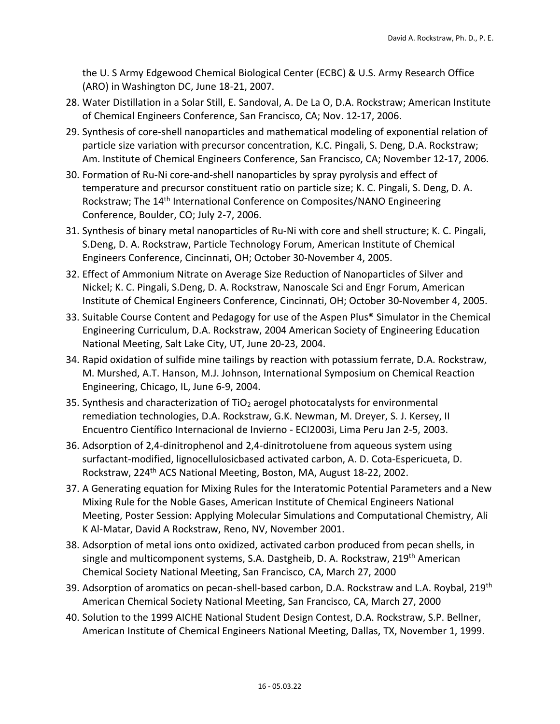the U. S Army Edgewood Chemical Biological Center (ECBC) & U.S. Army Research Office (ARO) in Washington DC, June 18-21, 2007.

- 28. Water Distillation in a Solar Still, E. Sandoval, A. De La O, D.A. Rockstraw; American Institute of Chemical Engineers Conference, San Francisco, CA; Nov. 12-17, 2006.
- 29. Synthesis of core-shell nanoparticles and mathematical modeling of exponential relation of particle size variation with precursor concentration, K.C. Pingali, S. Deng, D.A. Rockstraw; Am. Institute of Chemical Engineers Conference, San Francisco, CA; November 12-17, 2006.
- 30. Formation of Ru-Ni core-and-shell nanoparticles by spray pyrolysis and effect of temperature and precursor constituent ratio on particle size; K. C. Pingali, S. Deng, D. A. Rockstraw; The 14<sup>th</sup> International Conference on Composites/NANO Engineering Conference, Boulder, CO; July 2-7, 2006.
- 31. Synthesis of binary metal nanoparticles of Ru-Ni with core and shell structure; K. C. Pingali, S.Deng, D. A. Rockstraw, Particle Technology Forum, American Institute of Chemical Engineers Conference, Cincinnati, OH; October 30-November 4, 2005.
- 32. Effect of Ammonium Nitrate on Average Size Reduction of Nanoparticles of Silver and Nickel; K. C. Pingali, S.Deng, D. A. Rockstraw, Nanoscale Sci and Engr Forum, American Institute of Chemical Engineers Conference, Cincinnati, OH; October 30-November 4, 2005.
- 33. Suitable Course Content and Pedagogy for use of the Aspen Plus® Simulator in the Chemical Engineering Curriculum, D.A. Rockstraw, 2004 American Society of Engineering Education National Meeting, Salt Lake City, UT, June 20-23, 2004.
- 34. Rapid oxidation of sulfide mine tailings by reaction with potassium ferrate, D.A. Rockstraw, M. Murshed, A.T. Hanson, M.J. Johnson, International Symposium on Chemical Reaction Engineering, Chicago, IL, June 6-9, 2004.
- 35. Synthesis and characterization of  $TiO<sub>2</sub>$  aerogel photocatalysts for environmental remediation technologies, D.A. Rockstraw, G.K. Newman, M. Dreyer, S. J. Kersey, II Encuentro Científico Internacional de Invierno - ECI2003i, Lima Peru Jan 2-5, 2003.
- 36. Adsorption of 2,4-dinitrophenol and 2,4-dinitrotoluene from aqueous system using surfactant-modified, lignocellulosicbased activated carbon, A. D. Cota-Espericueta, D. Rockstraw, 224<sup>th</sup> ACS National Meeting, Boston, MA, August 18-22, 2002.
- 37. A Generating equation for Mixing Rules for the Interatomic Potential Parameters and a New Mixing Rule for the Noble Gases, American Institute of Chemical Engineers National Meeting, Poster Session: Applying Molecular Simulations and Computational Chemistry, Ali K Al-Matar, David A Rockstraw, Reno, NV, November 2001.
- 38. Adsorption of metal ions onto oxidized, activated carbon produced from pecan shells, in single and multicomponent systems, S.A. Dastgheib, D. A. Rockstraw, 219<sup>th</sup> American Chemical Society National Meeting, San Francisco, CA, March 27, 2000
- 39. Adsorption of aromatics on pecan-shell-based carbon, D.A. Rockstraw and L.A. Roybal, 219<sup>th</sup> American Chemical Society National Meeting, San Francisco, CA, March 27, 2000
- 40. Solution to the 1999 AICHE National Student Design Contest, D.A. Rockstraw, S.P. Bellner, American Institute of Chemical Engineers National Meeting, Dallas, TX, November 1, 1999.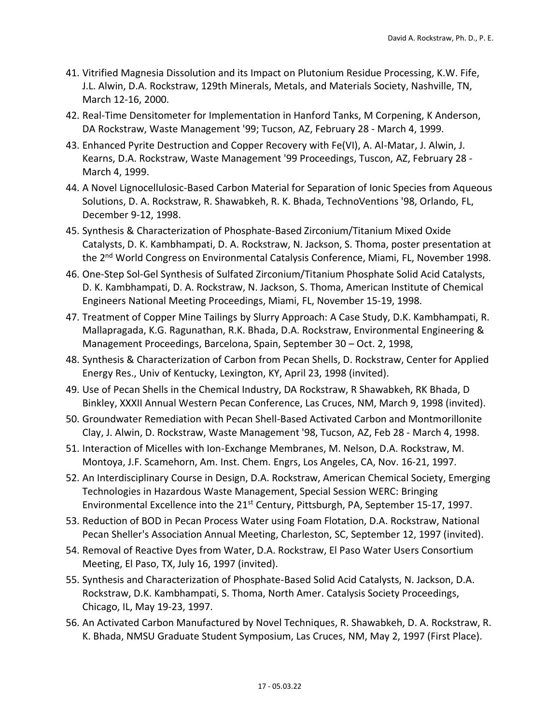- 41. Vitrified Magnesia Dissolution and its Impact on Plutonium Residue Processing, K.W. Fife, J.L. Alwin, D.A. Rockstraw, 129th Minerals, Metals, and Materials Society, Nashville, TN, March 12-16, 2000.
- 42. Real-Time Densitometer for Implementation in Hanford Tanks, M Corpening, K Anderson, DA Rockstraw, Waste Management '99; Tucson, AZ, February 28 - March 4, 1999.
- 43. Enhanced Pyrite Destruction and Copper Recovery with Fe(VI), A. Al-Matar, J. Alwin, J. Kearns, D.A. Rockstraw, Waste Management '99 Proceedings, Tuscon, AZ, February 28 - March 4, 1999.
- 44. A Novel Lignocellulosic-Based Carbon Material for Separation of Ionic Species from Aqueous Solutions, D. A. Rockstraw, R. Shawabkeh, R. K. Bhada, TechnoVentions '98, Orlando, FL, December 9-12, 1998.
- 45. Synthesis & Characterization of Phosphate-Based Zirconium/Titanium Mixed Oxide Catalysts, D. K. Kambhampati, D. A. Rockstraw, N. Jackson, S. Thoma, poster presentation at the 2<sup>nd</sup> World Congress on Environmental Catalysis Conference, Miami, FL, November 1998.
- 46. One-Step Sol-Gel Synthesis of Sulfated Zirconium/Titanium Phosphate Solid Acid Catalysts, D. K. Kambhampati, D. A. Rockstraw, N. Jackson, S. Thoma, American Institute of Chemical Engineers National Meeting Proceedings, Miami, FL, November 15-19, 1998.
- 47. Treatment of Copper Mine Tailings by Slurry Approach: A Case Study, D.K. Kambhampati, R. Mallapragada, K.G. Ragunathan, R.K. Bhada, D.A. Rockstraw, Environmental Engineering & Management Proceedings, Barcelona, Spain, September 30 – Oct. 2, 1998,
- 48. Synthesis & Characterization of Carbon from Pecan Shells, D. Rockstraw, Center for Applied Energy Res., Univ of Kentucky, Lexington, KY, April 23, 1998 (invited).
- 49. Use of Pecan Shells in the Chemical Industry, DA Rockstraw, R Shawabkeh, RK Bhada, D Binkley, XXXII Annual Western Pecan Conference, Las Cruces, NM, March 9, 1998 (invited).
- 50. Groundwater Remediation with Pecan Shell-Based Activated Carbon and Montmorillonite Clay, J. Alwin, D. Rockstraw, Waste Management '98, Tucson, AZ, Feb 28 - March 4, 1998.
- 51. Interaction of Micelles with Ion-Exchange Membranes, M. Nelson, D.A. Rockstraw, M. Montoya, J.F. Scamehorn, Am. Inst. Chem. Engrs, Los Angeles, CA, Nov. 16-21, 1997.
- 52. An Interdisciplinary Course in Design, D.A. Rockstraw, American Chemical Society, Emerging Technologies in Hazardous Waste Management, Special Session WERC: Bringing Environmental Excellence into the 21<sup>st</sup> Century, Pittsburgh, PA, September 15-17, 1997.
- 53. Reduction of BOD in Pecan Process Water using Foam Flotation, D.A. Rockstraw, National Pecan Sheller's Association Annual Meeting, Charleston, SC, September 12, 1997 (invited).
- 54. Removal of Reactive Dyes from Water, D.A. Rockstraw, El Paso Water Users Consortium Meeting, El Paso, TX, July 16, 1997 (invited).
- 55. Synthesis and Characterization of Phosphate-Based Solid Acid Catalysts, N. Jackson, D.A. Rockstraw, D.K. Kambhampati, S. Thoma, North Amer. Catalysis Society Proceedings, Chicago, IL, May 19-23, 1997.
- 56. An Activated Carbon Manufactured by Novel Techniques, R. Shawabkeh, D. A. Rockstraw, R. K. Bhada, NMSU Graduate Student Symposium, Las Cruces, NM, May 2, 1997 (First Place).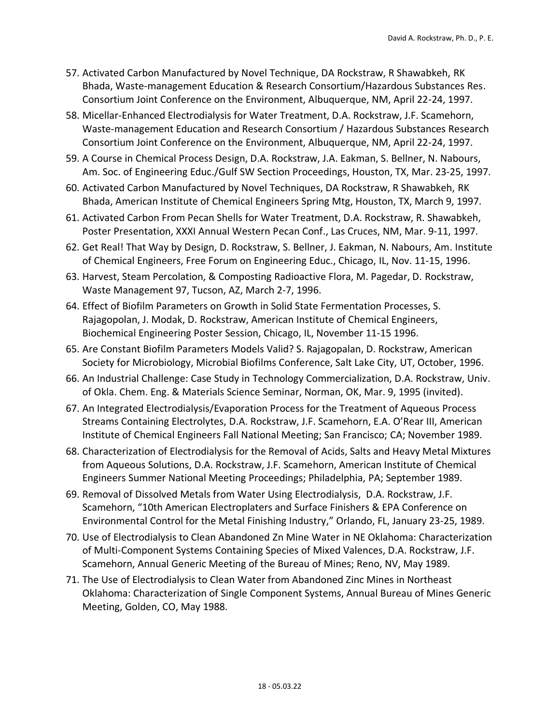- 57. Activated Carbon Manufactured by Novel Technique, DA Rockstraw, R Shawabkeh, RK Bhada, Waste-management Education & Research Consortium/Hazardous Substances Res. Consortium Joint Conference on the Environment, Albuquerque, NM, April 22-24, 1997.
- 58. Micellar-Enhanced Electrodialysis for Water Treatment, D.A. Rockstraw, J.F. Scamehorn, Waste-management Education and Research Consortium / Hazardous Substances Research Consortium Joint Conference on the Environment, Albuquerque, NM, April 22-24, 1997.
- 59. A Course in Chemical Process Design, D.A. Rockstraw, J.A. Eakman, S. Bellner, N. Nabours, Am. Soc. of Engineering Educ./Gulf SW Section Proceedings, Houston, TX, Mar. 23-25, 1997.
- 60. Activated Carbon Manufactured by Novel Techniques, DA Rockstraw, R Shawabkeh, RK Bhada, American Institute of Chemical Engineers Spring Mtg, Houston, TX, March 9, 1997.
- 61. Activated Carbon From Pecan Shells for Water Treatment, D.A. Rockstraw, R. Shawabkeh, Poster Presentation, XXXI Annual Western Pecan Conf., Las Cruces, NM, Mar. 9-11, 1997.
- 62. Get Real! That Way by Design, D. Rockstraw, S. Bellner, J. Eakman, N. Nabours, Am. Institute of Chemical Engineers, Free Forum on Engineering Educ., Chicago, IL, Nov. 11-15, 1996.
- 63. Harvest, Steam Percolation, & Composting Radioactive Flora, M. Pagedar, D. Rockstraw, Waste Management 97, Tucson, AZ, March 2-7, 1996.
- 64. Effect of Biofilm Parameters on Growth in Solid State Fermentation Processes, S. Rajagopolan, J. Modak, D. Rockstraw, American Institute of Chemical Engineers, Biochemical Engineering Poster Session, Chicago, IL, November 11-15 1996.
- 65. Are Constant Biofilm Parameters Models Valid? S. Rajagopalan, D. Rockstraw, American Society for Microbiology, Microbial Biofilms Conference, Salt Lake City, UT, October, 1996.
- 66. An Industrial Challenge: Case Study in Technology Commercialization, D.A. Rockstraw, Univ. of Okla. Chem. Eng. & Materials Science Seminar, Norman, OK, Mar. 9, 1995 (invited).
- 67. An Integrated Electrodialysis/Evaporation Process for the Treatment of Aqueous Process Streams Containing Electrolytes, D.A. Rockstraw, J.F. Scamehorn, E.A. O'Rear III, American Institute of Chemical Engineers Fall National Meeting; San Francisco; CA; November 1989.
- 68. Characterization of Electrodialysis for the Removal of Acids, Salts and Heavy Metal Mixtures from Aqueous Solutions, D.A. Rockstraw, J.F. Scamehorn, American Institute of Chemical Engineers Summer National Meeting Proceedings; Philadelphia, PA; September 1989.
- 69. Removal of Dissolved Metals from Water Using Electrodialysis, D.A. Rockstraw, J.F. Scamehorn, "10th American Electroplaters and Surface Finishers & EPA Conference on Environmental Control for the Metal Finishing Industry," Orlando, FL, January 23-25, 1989.
- 70. Use of Electrodialysis to Clean Abandoned Zn Mine Water in NE Oklahoma: Characterization of Multi-Component Systems Containing Species of Mixed Valences, D.A. Rockstraw, J.F. Scamehorn, Annual Generic Meeting of the Bureau of Mines; Reno, NV, May 1989.
- 71. The Use of Electrodialysis to Clean Water from Abandoned Zinc Mines in Northeast Oklahoma: Characterization of Single Component Systems, Annual Bureau of Mines Generic Meeting, Golden, CO, May 1988.